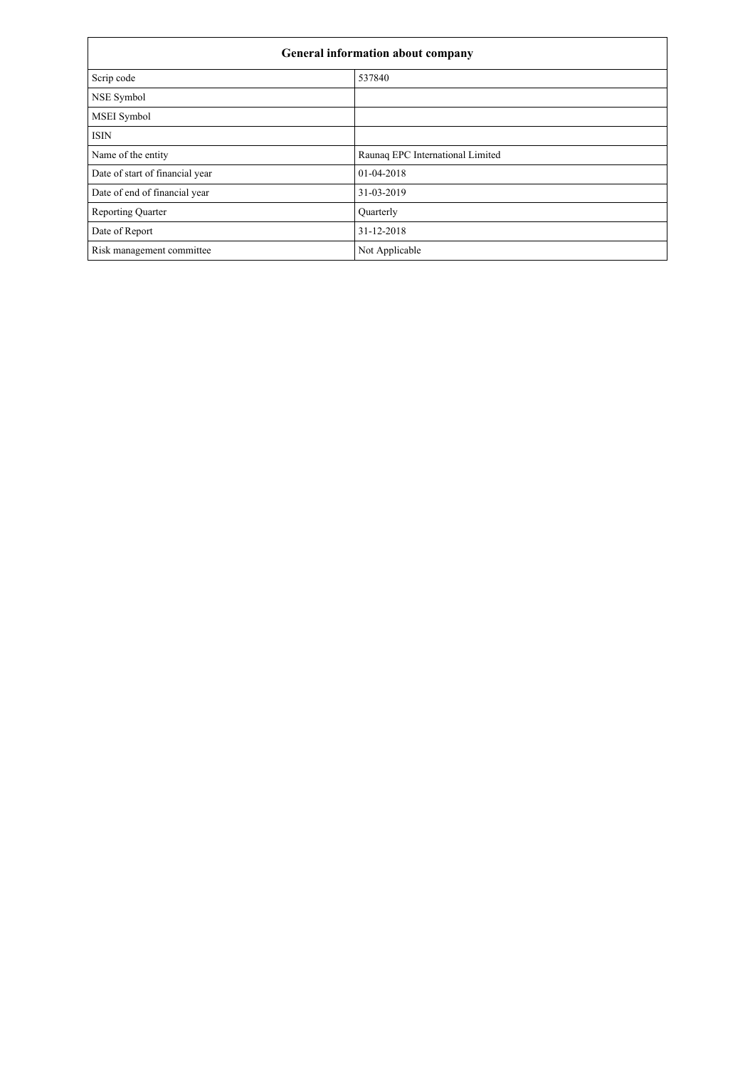| General information about company |                                  |  |  |
|-----------------------------------|----------------------------------|--|--|
| Scrip code                        | 537840                           |  |  |
| NSE Symbol                        |                                  |  |  |
| MSEI Symbol                       |                                  |  |  |
| <b>ISIN</b>                       |                                  |  |  |
| Name of the entity                | Raunaq EPC International Limited |  |  |
| Date of start of financial year   | 01-04-2018                       |  |  |
| Date of end of financial year     | 31-03-2019                       |  |  |
| <b>Reporting Quarter</b>          | Quarterly                        |  |  |
| Date of Report                    | 31-12-2018                       |  |  |
| Risk management committee         | Not Applicable                   |  |  |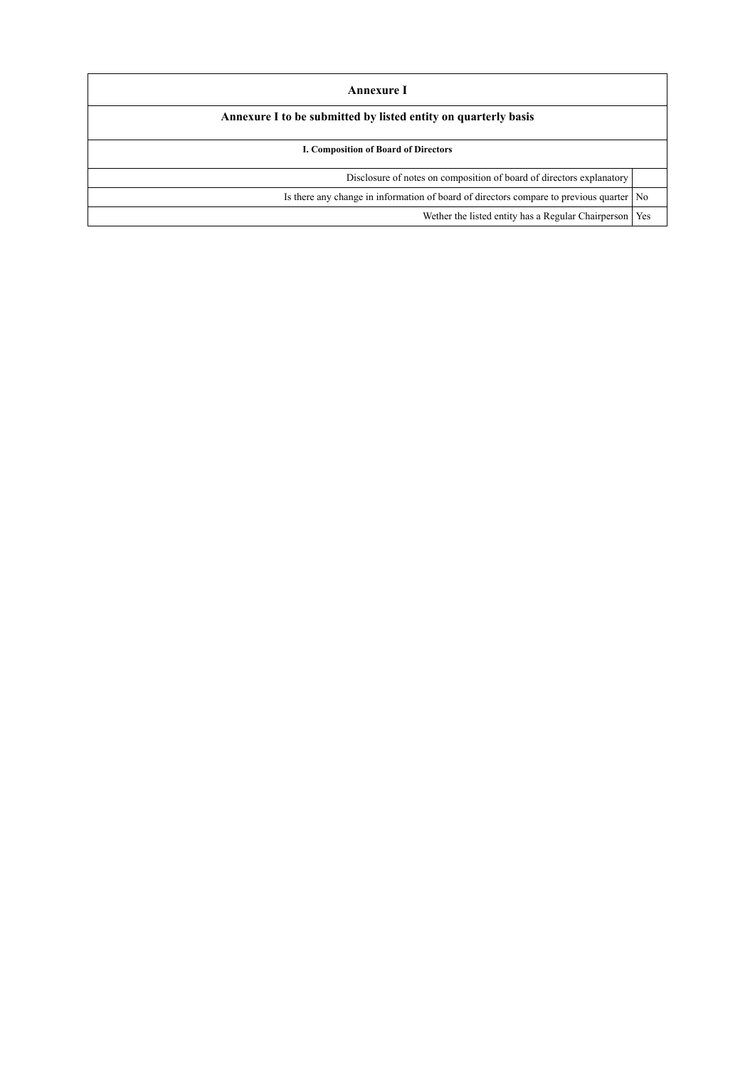| Annexure I<br>Annexure I to be submitted by listed entity on quarterly basis              |     |  |  |  |
|-------------------------------------------------------------------------------------------|-----|--|--|--|
|                                                                                           |     |  |  |  |
| Disclosure of notes on composition of board of directors explanatory                      |     |  |  |  |
| Is there any change in information of board of directors compare to previous quarter   No |     |  |  |  |
| Wether the listed entity has a Regular Chairperson                                        | Yes |  |  |  |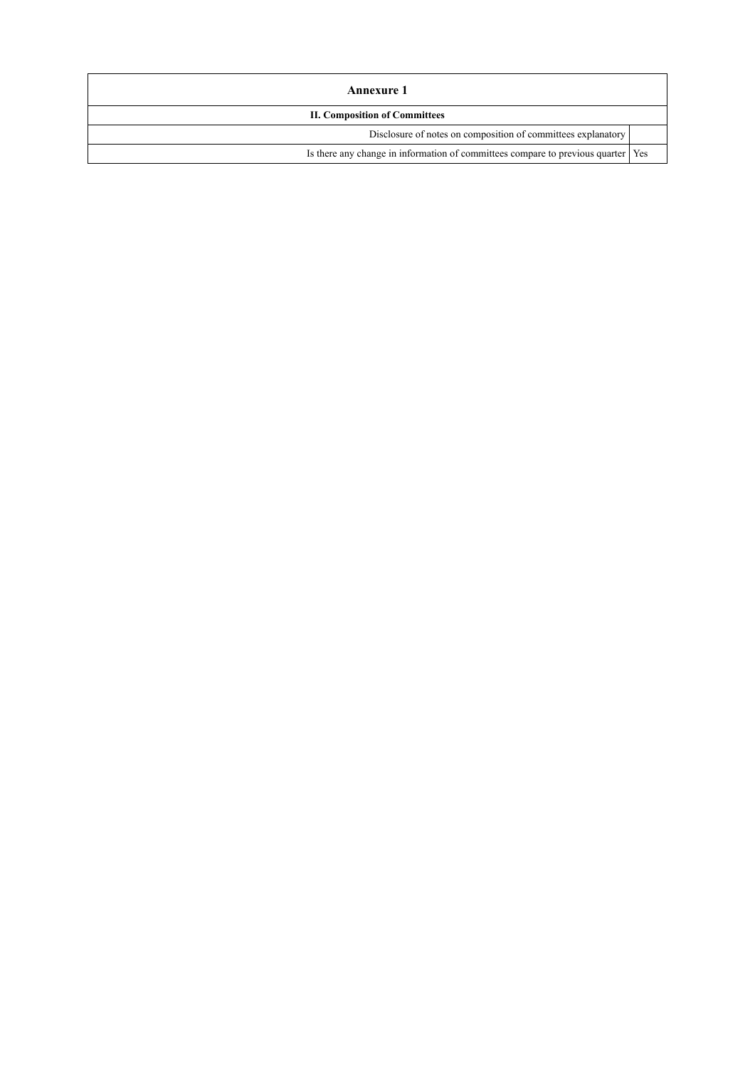| Annexure 1                                                                         |  |  |  |  |
|------------------------------------------------------------------------------------|--|--|--|--|
| <b>II. Composition of Committees</b>                                               |  |  |  |  |
| Disclosure of notes on composition of committees explanatory                       |  |  |  |  |
| Is there any change in information of committees compare to previous quarter   Yes |  |  |  |  |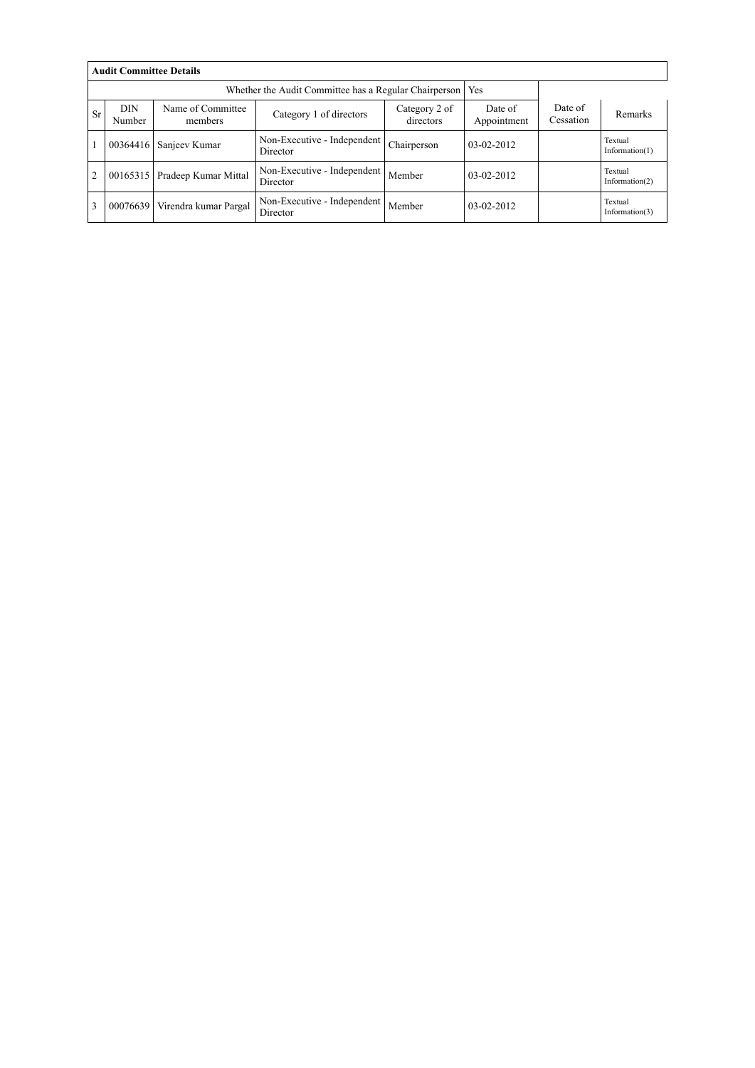|                | <b>Audit Committee Details</b>                                                                                |                       |                                                       |             |                        |                      |                              |  |  |  |
|----------------|---------------------------------------------------------------------------------------------------------------|-----------------------|-------------------------------------------------------|-------------|------------------------|----------------------|------------------------------|--|--|--|
|                |                                                                                                               |                       | Whether the Audit Committee has a Regular Chairperson |             | Yes                    |                      |                              |  |  |  |
| <b>Sr</b>      | <b>DIN</b><br>Name of Committee<br>Category 2 of<br>Category 1 of directors<br>Number<br>directors<br>members |                       |                                                       |             | Date of<br>Appointment | Date of<br>Cessation | Remarks                      |  |  |  |
|                | 00364416                                                                                                      | Sanjeev Kumar         | Non-Executive - Independent<br>Director               | Chairperson | $03-02-2012$           |                      | Textual<br>Information $(1)$ |  |  |  |
| $\overline{2}$ | 00165315                                                                                                      | Pradeep Kumar Mittal  | Non-Executive - Independent<br>Director               | Member      | $03-02-2012$           |                      | Textual<br>Information $(2)$ |  |  |  |
| 3              | 00076639                                                                                                      | Virendra kumar Pargal | Non-Executive - Independent<br>Director               | Member      | $03-02-2012$           |                      | Textual<br>Information $(3)$ |  |  |  |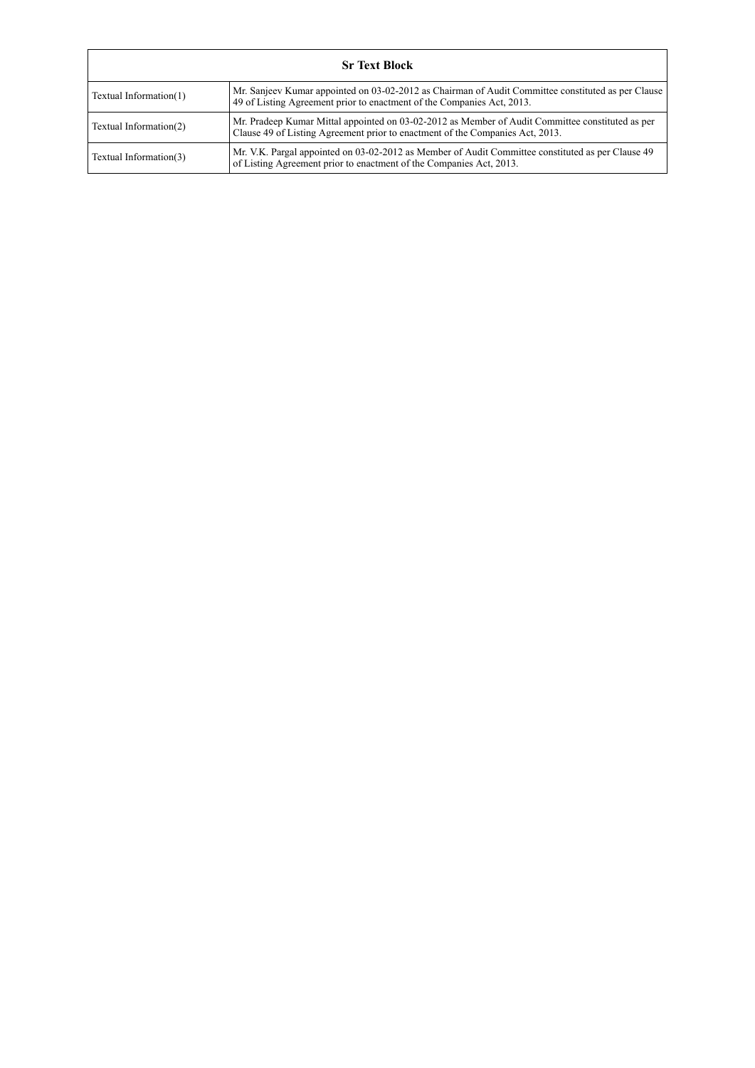|                        | <b>Sr Text Block</b>                                                                                                                                                              |  |  |  |  |
|------------------------|-----------------------------------------------------------------------------------------------------------------------------------------------------------------------------------|--|--|--|--|
| Textual Information(1) | Mr. Sanjeev Kumar appointed on 03-02-2012 as Chairman of Audit Committee constituted as per Clause<br>49 of Listing Agreement prior to enactment of the Companies Act, 2013.      |  |  |  |  |
| Textual Information(2) | Mr. Pradeep Kumar Mittal appointed on 03-02-2012 as Member of Audit Committee constituted as per<br>Clause 49 of Listing Agreement prior to enactment of the Companies Act, 2013. |  |  |  |  |
| Textual Information(3) | Mr. V.K. Pargal appointed on 03-02-2012 as Member of Audit Committee constituted as per Clause 49<br>of Listing Agreement prior to enactment of the Companies Act, 2013.          |  |  |  |  |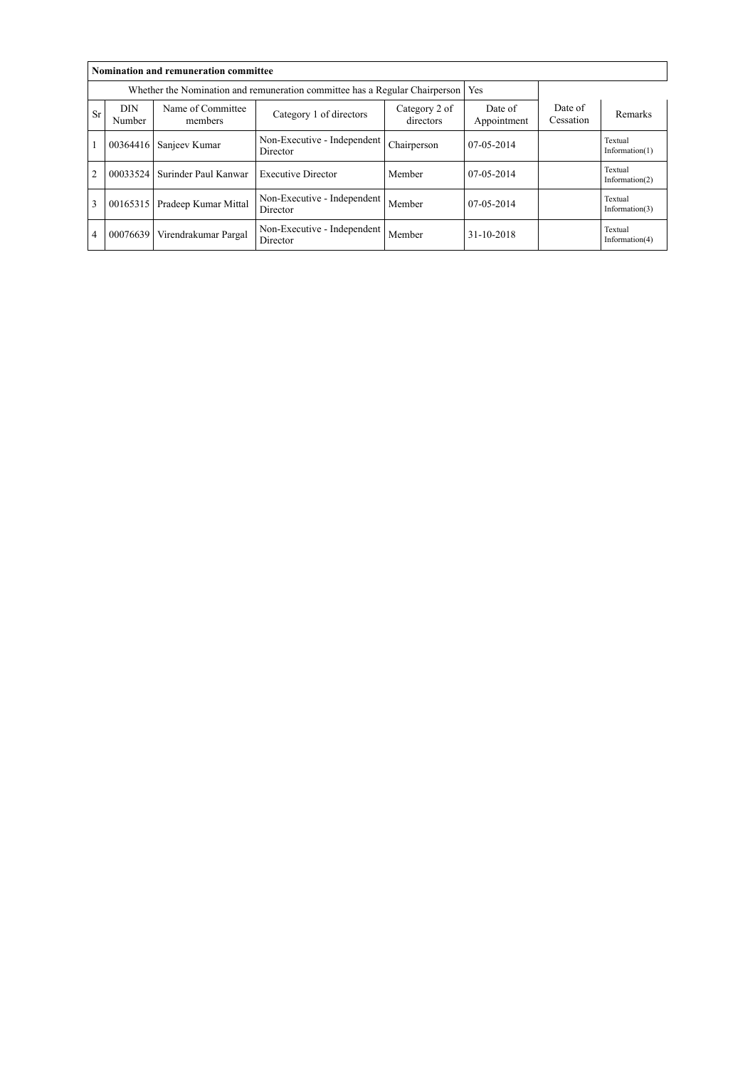|                | Nomination and remuneration committee                                                        |                                                                             |                                         |                        |                      |         |                              |  |  |
|----------------|----------------------------------------------------------------------------------------------|-----------------------------------------------------------------------------|-----------------------------------------|------------------------|----------------------|---------|------------------------------|--|--|
|                |                                                                                              | Whether the Nomination and remuneration committee has a Regular Chairperson | Yes                                     |                        |                      |         |                              |  |  |
| <b>Sr</b>      | <b>DIN</b><br>Name of Committee<br>Category 1 of directors<br>directors<br>Number<br>members |                                                                             | Category 2 of                           | Date of<br>Appointment | Date of<br>Cessation | Remarks |                              |  |  |
|                | 00364416                                                                                     | Sanjeev Kumar                                                               | Non-Executive - Independent<br>Director | Chairperson            | $07-05-2014$         |         | Textual<br>Information(1)    |  |  |
| $\overline{2}$ | 00033524                                                                                     | Surinder Paul Kanwar                                                        | <b>Executive Director</b>               | Member                 | $07-05-2014$         |         | Textual<br>Information(2)    |  |  |
| $\overline{3}$ | 00165315                                                                                     | Pradeep Kumar Mittal                                                        | Non-Executive - Independent<br>Director | Member                 | $07-05-2014$         |         | Textual<br>Information $(3)$ |  |  |
| $\overline{4}$ | 00076639                                                                                     | Virendrakumar Pargal                                                        | Non-Executive - Independent<br>Director | Member                 | 31-10-2018           |         | Textual<br>Information(4)    |  |  |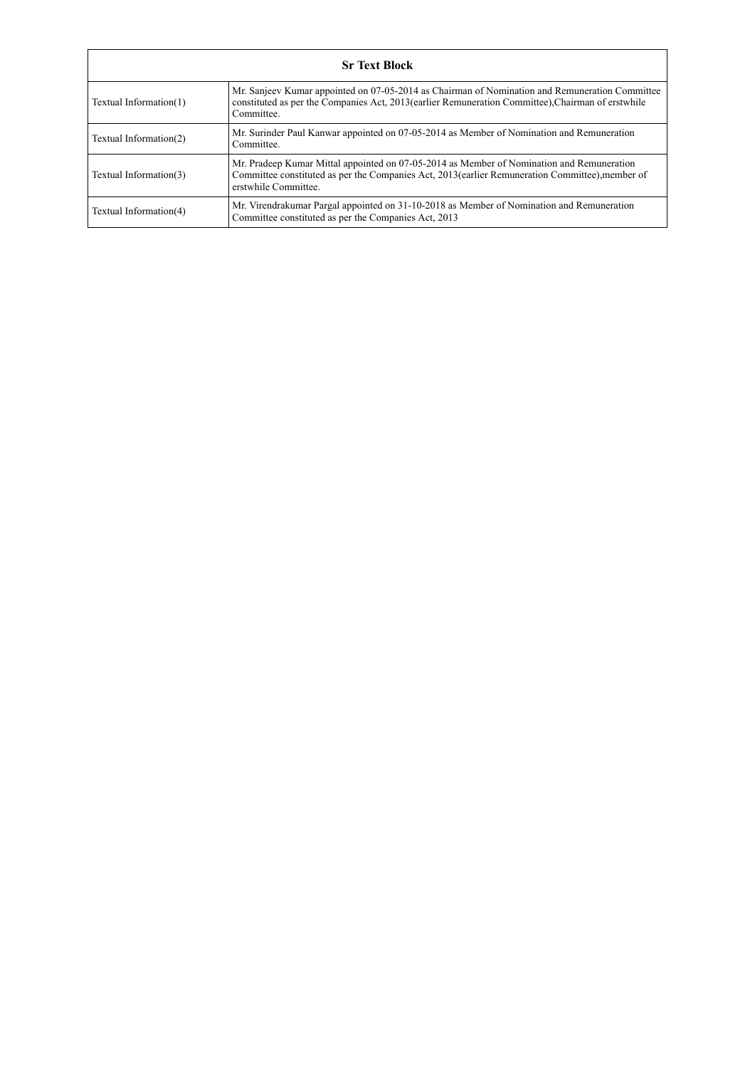|                        | <b>Sr Text Block</b>                                                                                                                                                                                                 |  |  |  |  |
|------------------------|----------------------------------------------------------------------------------------------------------------------------------------------------------------------------------------------------------------------|--|--|--|--|
| Textual Information(1) | Mr. Sanjeev Kumar appointed on 07-05-2014 as Chairman of Nomination and Remuneration Committee<br>constituted as per the Companies Act, 2013(earlier Remuneration Committee), Chairman of erstwhile<br>Committee.    |  |  |  |  |
| Textual Information(2) | Mr. Surinder Paul Kanwar appointed on 07-05-2014 as Member of Nomination and Remuneration<br>Committee.                                                                                                              |  |  |  |  |
| Textual Information(3) | Mr. Pradeep Kumar Mittal appointed on 07-05-2014 as Member of Nomination and Remuneration<br>Committee constituted as per the Companies Act, 2013(earlier Remuneration Committee), member of<br>erstwhile Committee. |  |  |  |  |
| Textual Information(4) | Mr. Virendrakumar Pargal appointed on 31-10-2018 as Member of Nomination and Remuneration<br>Committee constituted as per the Companies Act, 2013                                                                    |  |  |  |  |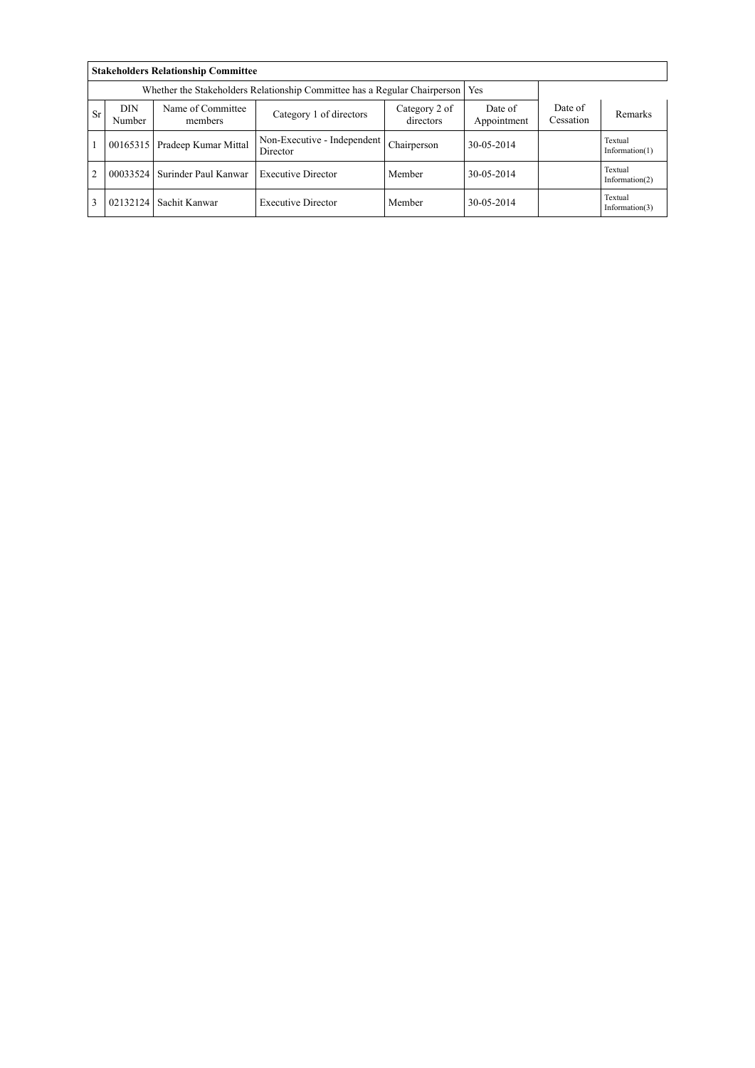|                | <b>Stakeholders Relationship Committee</b>                                       |                              |                                         |                            |                        |                      |                              |  |  |
|----------------|----------------------------------------------------------------------------------|------------------------------|-----------------------------------------|----------------------------|------------------------|----------------------|------------------------------|--|--|
|                | Whether the Stakeholders Relationship Committee has a Regular Chairperson<br>Yes |                              |                                         |                            |                        |                      |                              |  |  |
| <b>Sr</b>      | <b>DIN</b><br>Number                                                             | Name of Committee<br>members | Category 1 of directors                 | Category 2 of<br>directors | Date of<br>Appointment | Date of<br>Cessation | Remarks                      |  |  |
|                | 00165315                                                                         | Pradeep Kumar Mittal         | Non-Executive - Independent<br>Director | Chairperson                | 30-05-2014             |                      | Textual<br>Information $(1)$ |  |  |
| $\overline{2}$ | 00033524                                                                         | Surinder Paul Kanwar         | <b>Executive Director</b>               | Member                     | 30-05-2014             |                      | Textual<br>Information $(2)$ |  |  |
|                | 02132124                                                                         | Sachit Kanwar                | <b>Executive Director</b>               | Member                     | 30-05-2014             |                      | Textual<br>Information $(3)$ |  |  |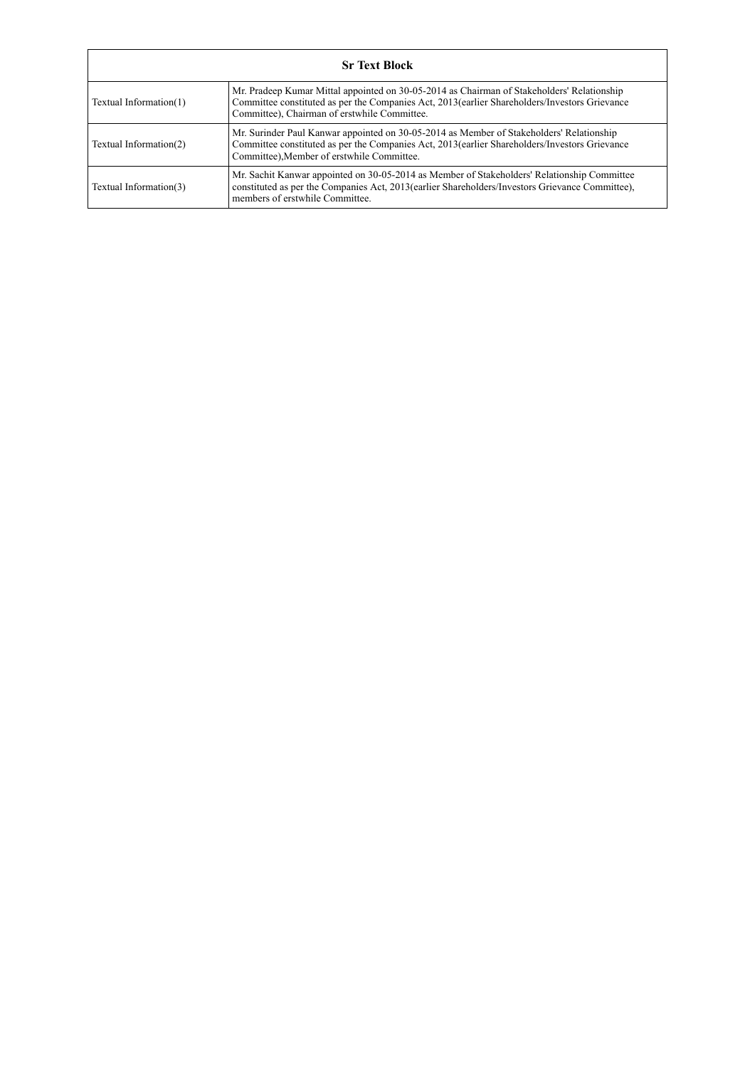|                        | <b>Sr Text Block</b>                                                                                                                                                                                                                         |  |  |  |  |
|------------------------|----------------------------------------------------------------------------------------------------------------------------------------------------------------------------------------------------------------------------------------------|--|--|--|--|
| Textual Information(1) | Mr. Pradeep Kumar Mittal appointed on 30-05-2014 as Chairman of Stakeholders' Relationship<br>Committee constituted as per the Companies Act, 2013 (earlier Shareholders/Investors Grievance<br>Committee), Chairman of erstwhile Committee. |  |  |  |  |
| Textual Information(2) | Mr. Surinder Paul Kanwar appointed on 30-05-2014 as Member of Stakeholders' Relationship<br>Committee constituted as per the Companies Act, 2013 (earlier Shareholders/Investors Grievance<br>Committee), Member of erstwhile Committee.     |  |  |  |  |
| Textual Information(3) | Mr. Sachit Kanwar appointed on 30-05-2014 as Member of Stakeholders' Relationship Committee<br>constituted as per the Companies Act, 2013(earlier Shareholders/Investors Grievance Committee),<br>members of erstwhile Committee.            |  |  |  |  |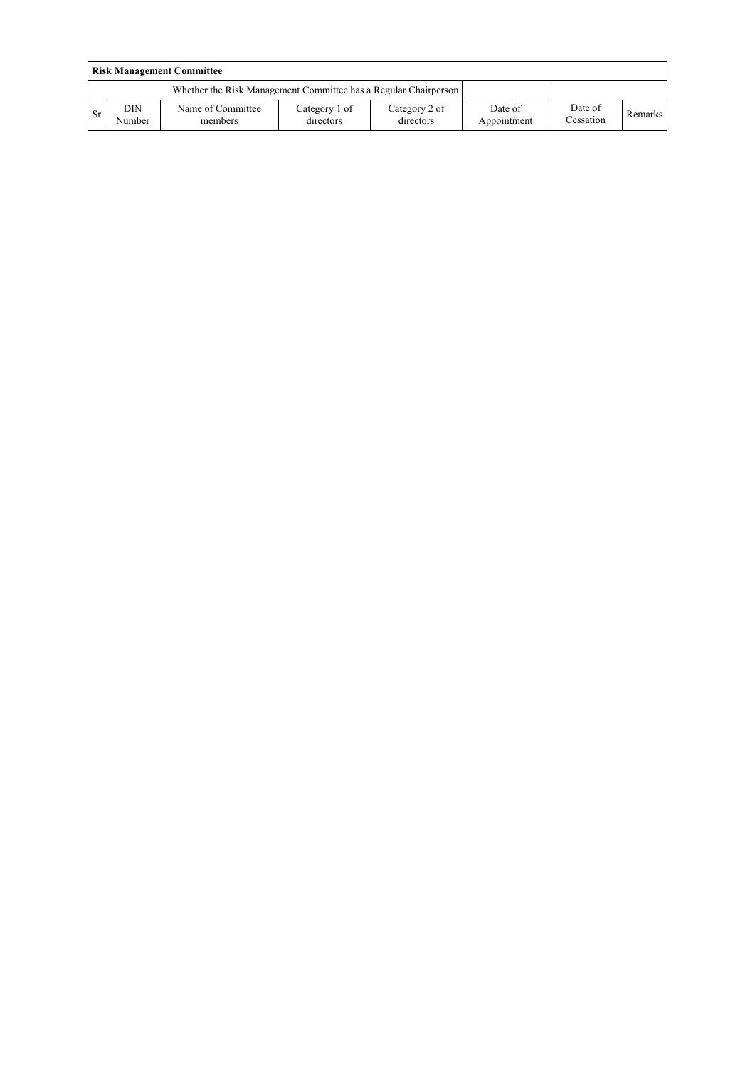|           | <b>Risk Management Committee</b> |                                                                 |                            |                            |                        |                      |         |  |
|-----------|----------------------------------|-----------------------------------------------------------------|----------------------------|----------------------------|------------------------|----------------------|---------|--|
|           |                                  | Whether the Risk Management Committee has a Regular Chairperson |                            |                            |                        |                      |         |  |
| <b>Sr</b> | <b>DIN</b><br>Number             | Name of Committee<br>members                                    | Category 1 of<br>directors | Category 2 of<br>directors | Date of<br>Appointment | Date of<br>Cessation | Remarks |  |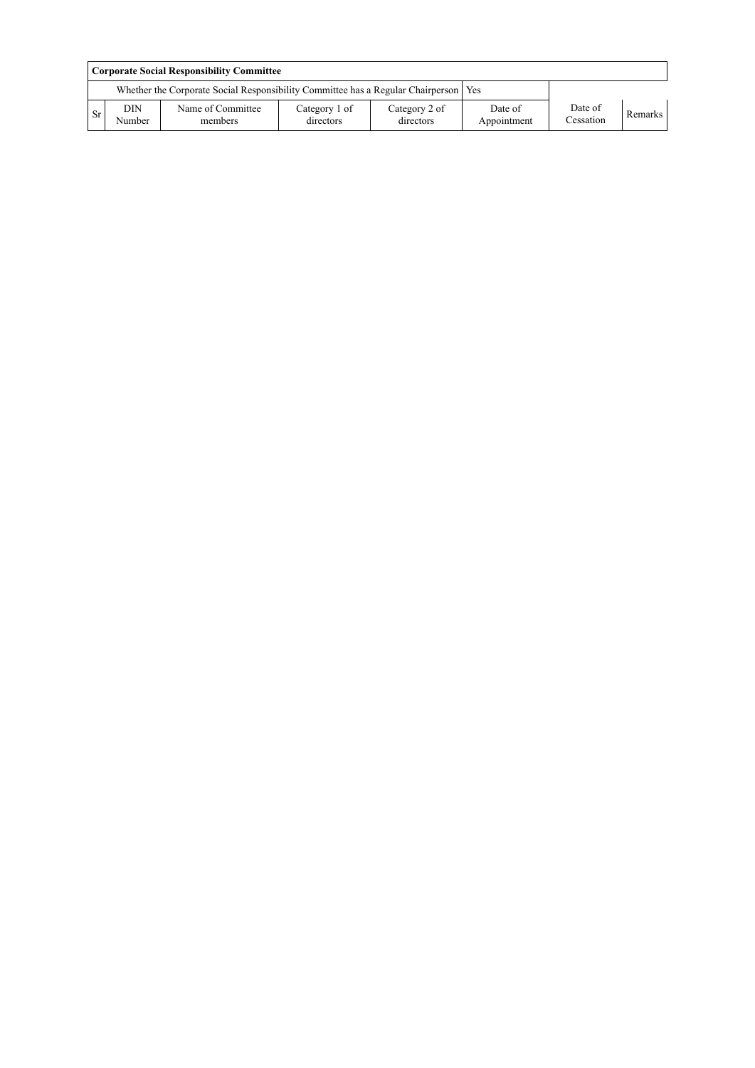|      | <b>Corporate Social Responsibility Committee</b> |                                                                                       |                            |                            |                        |                      |                |  |
|------|--------------------------------------------------|---------------------------------------------------------------------------------------|----------------------------|----------------------------|------------------------|----------------------|----------------|--|
|      |                                                  | Whether the Corporate Social Responsibility Committee has a Regular Chairperson   Yes |                            |                            |                        |                      |                |  |
| l Sr | DIN<br>Number                                    | Name of Committee<br>members                                                          | Category 1 of<br>directors | Category 2 of<br>directors | Date of<br>Appointment | Date of<br>Cessation | <b>Remarks</b> |  |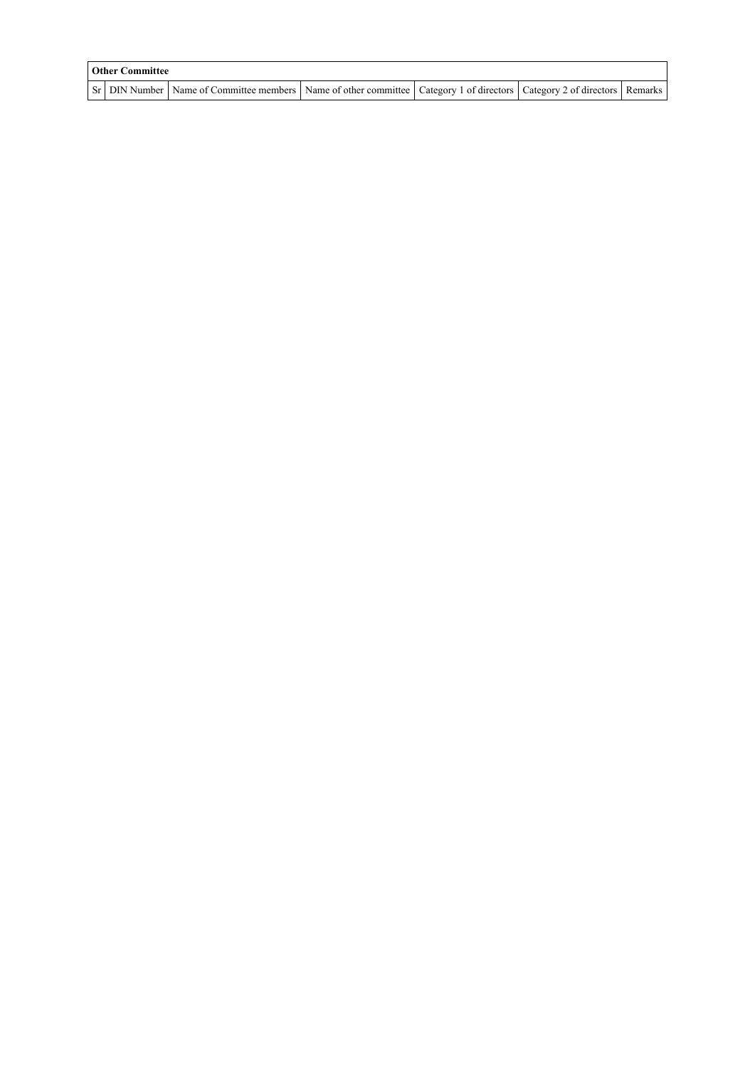| <b>Other Committee</b> |                                                                                                                                     |  |  |  |  |  |  |
|------------------------|-------------------------------------------------------------------------------------------------------------------------------------|--|--|--|--|--|--|
|                        | Sr   DIN Number   Name of Committee members   Name of other committee   Category 1 of directors   Category 2 of directors   Remarks |  |  |  |  |  |  |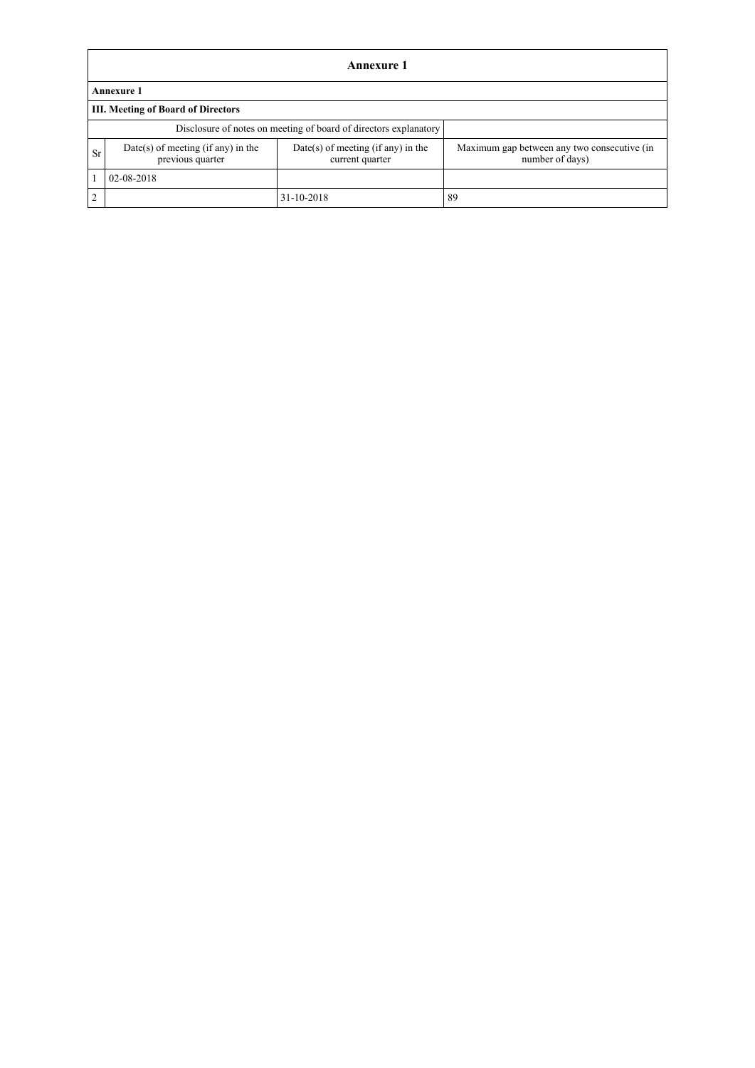|                                                                  | Annexure 1                                               |                                                         |                                                                |  |  |
|------------------------------------------------------------------|----------------------------------------------------------|---------------------------------------------------------|----------------------------------------------------------------|--|--|
|                                                                  | <b>Annexure 1</b>                                        |                                                         |                                                                |  |  |
|                                                                  | <b>III. Meeting of Board of Directors</b>                |                                                         |                                                                |  |  |
| Disclosure of notes on meeting of board of directors explanatory |                                                          |                                                         |                                                                |  |  |
| Sr                                                               | $Date(s)$ of meeting (if any) in the<br>previous quarter | $Date(s)$ of meeting (if any) in the<br>current quarter | Maximum gap between any two consecutive (in<br>number of days) |  |  |
|                                                                  | 02-08-2018                                               |                                                         |                                                                |  |  |
| $\gamma$                                                         |                                                          | 31-10-2018                                              | 89                                                             |  |  |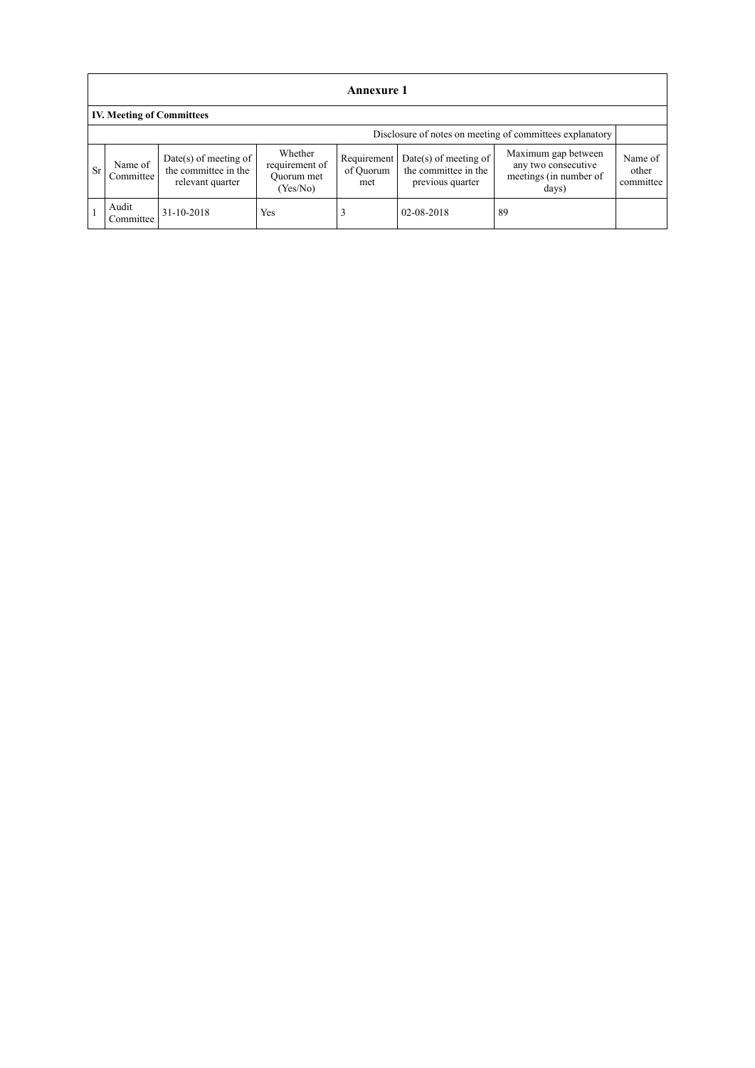|                                  | Annexure 1                                               |                                                                     |                                                     |                                 |                                                                     |                                                                               |                               |
|----------------------------------|----------------------------------------------------------|---------------------------------------------------------------------|-----------------------------------------------------|---------------------------------|---------------------------------------------------------------------|-------------------------------------------------------------------------------|-------------------------------|
| <b>IV. Meeting of Committees</b> |                                                          |                                                                     |                                                     |                                 |                                                                     |                                                                               |                               |
|                                  | Disclosure of notes on meeting of committees explanatory |                                                                     |                                                     |                                 |                                                                     |                                                                               |                               |
| <b>Sr</b>                        | Name of<br>Committee                                     | $Date(s)$ of meeting of<br>the committee in the<br>relevant quarter | Whether<br>requirement of<br>Quorum met<br>(Yes/No) | Requirement<br>of Quorum<br>met | $Date(s)$ of meeting of<br>the committee in the<br>previous quarter | Maximum gap between<br>any two consecutive<br>meetings (in number of<br>days) | Name of<br>other<br>committee |
|                                  | Audit<br>Committee                                       | 31-10-2018                                                          | Yes                                                 |                                 | 02-08-2018                                                          | 89                                                                            |                               |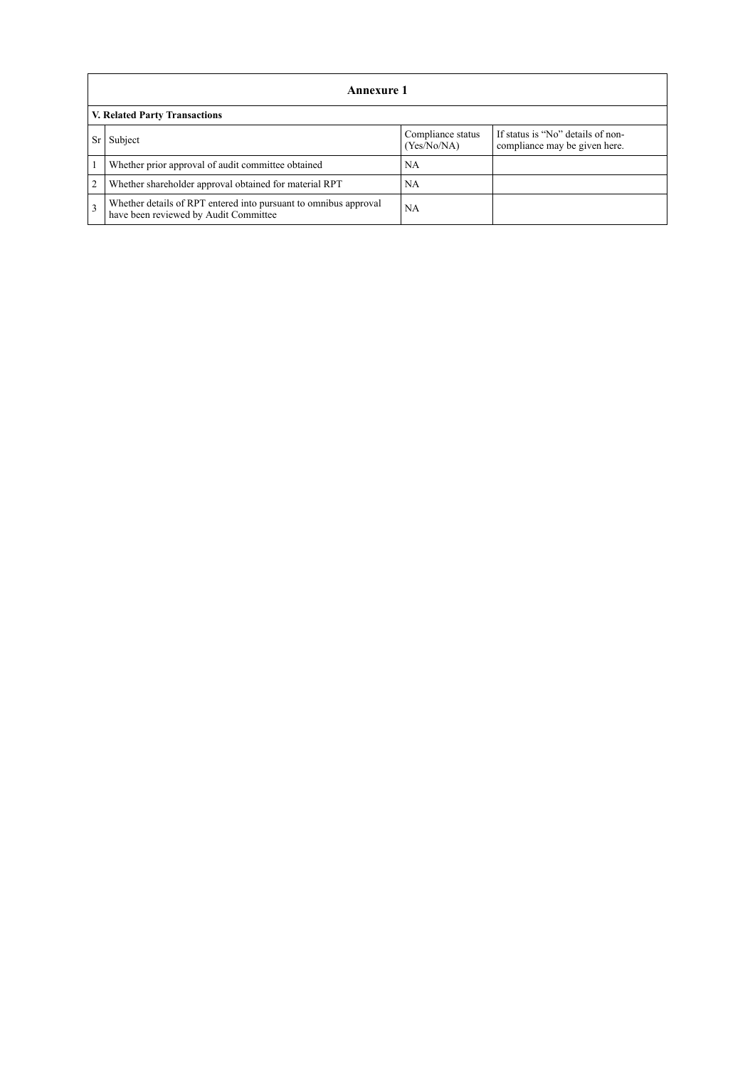|                | Annexure 1                                                                                                |                                  |                                                                    |  |
|----------------|-----------------------------------------------------------------------------------------------------------|----------------------------------|--------------------------------------------------------------------|--|
|                | <b>V. Related Party Transactions</b>                                                                      |                                  |                                                                    |  |
|                | Subject                                                                                                   | Compliance status<br>(Yes/No/NA) | If status is "No" details of non-<br>compliance may be given here. |  |
|                | Whether prior approval of audit committee obtained                                                        | NA                               |                                                                    |  |
| $\overline{2}$ | Whether shareholder approval obtained for material RPT                                                    | NA                               |                                                                    |  |
| $\mathcal{R}$  | Whether details of RPT entered into pursuant to omnibus approval<br>have been reviewed by Audit Committee | NA                               |                                                                    |  |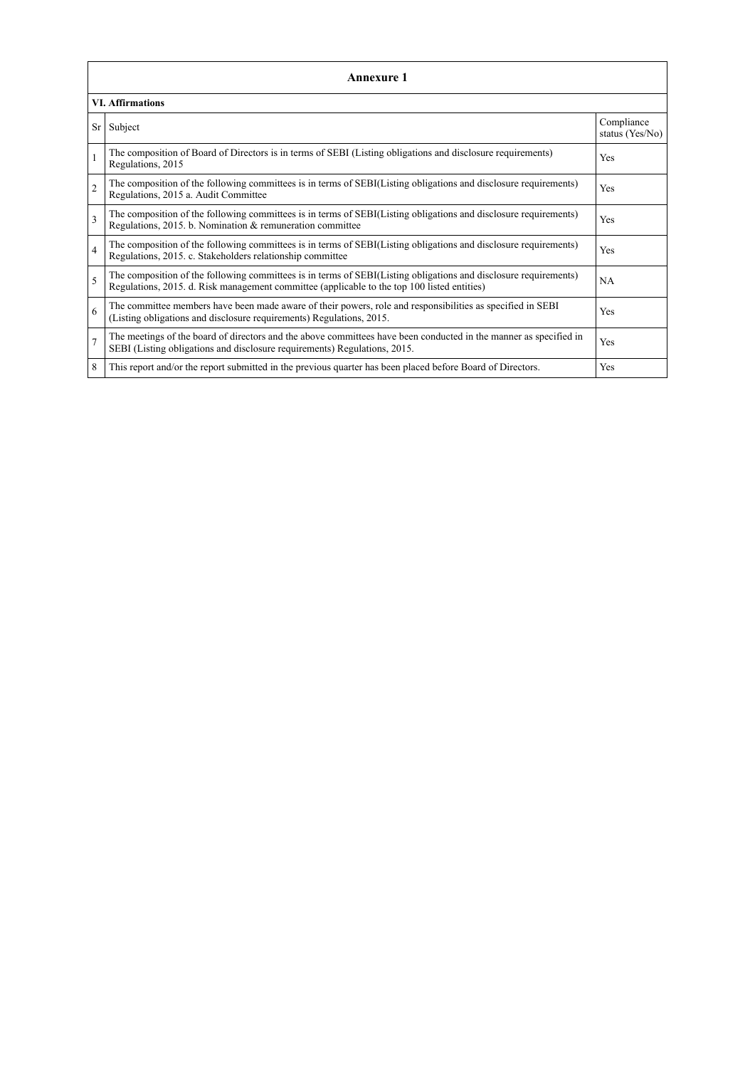|                 | <b>Annexure 1</b>                                                                                                                                                                                               |                               |  |  |  |
|-----------------|-----------------------------------------------------------------------------------------------------------------------------------------------------------------------------------------------------------------|-------------------------------|--|--|--|
|                 | <b>VI. Affirmations</b>                                                                                                                                                                                         |                               |  |  |  |
| Sr <sub>1</sub> | Subject                                                                                                                                                                                                         | Compliance<br>status (Yes/No) |  |  |  |
| $\mathbf{1}$    | The composition of Board of Directors is in terms of SEBI (Listing obligations and disclosure requirements)<br>Regulations, 2015                                                                                | Yes                           |  |  |  |
| $\mathfrak{2}$  | The composition of the following committees is in terms of SEBI(Listing obligations and disclosure requirements)<br>Regulations, 2015 a. Audit Committee                                                        | Yes                           |  |  |  |
| 3               | The composition of the following committees is in terms of SEBI(Listing obligations and disclosure requirements)<br>Regulations, 2015. b. Nomination & remuneration committee                                   | Yes                           |  |  |  |
| $\overline{4}$  | The composition of the following committees is in terms of SEBI(Listing obligations and disclosure requirements)<br>Regulations, 2015. c. Stakeholders relationship committee                                   | Yes                           |  |  |  |
| 5               | The composition of the following committees is in terms of SEBI(Listing obligations and disclosure requirements)<br>Regulations, 2015. d. Risk management committee (applicable to the top 100 listed entities) | NA                            |  |  |  |
| 6               | The committee members have been made aware of their powers, role and responsibilities as specified in SEBI<br>(Listing obligations and disclosure requirements) Regulations, 2015.                              | Yes                           |  |  |  |
| $\overline{7}$  | The meetings of the board of directors and the above committees have been conducted in the manner as specified in<br>SEBI (Listing obligations and disclosure requirements) Regulations, 2015.                  | Yes                           |  |  |  |
| 8               | This report and/or the report submitted in the previous quarter has been placed before Board of Directors.                                                                                                      | Yes                           |  |  |  |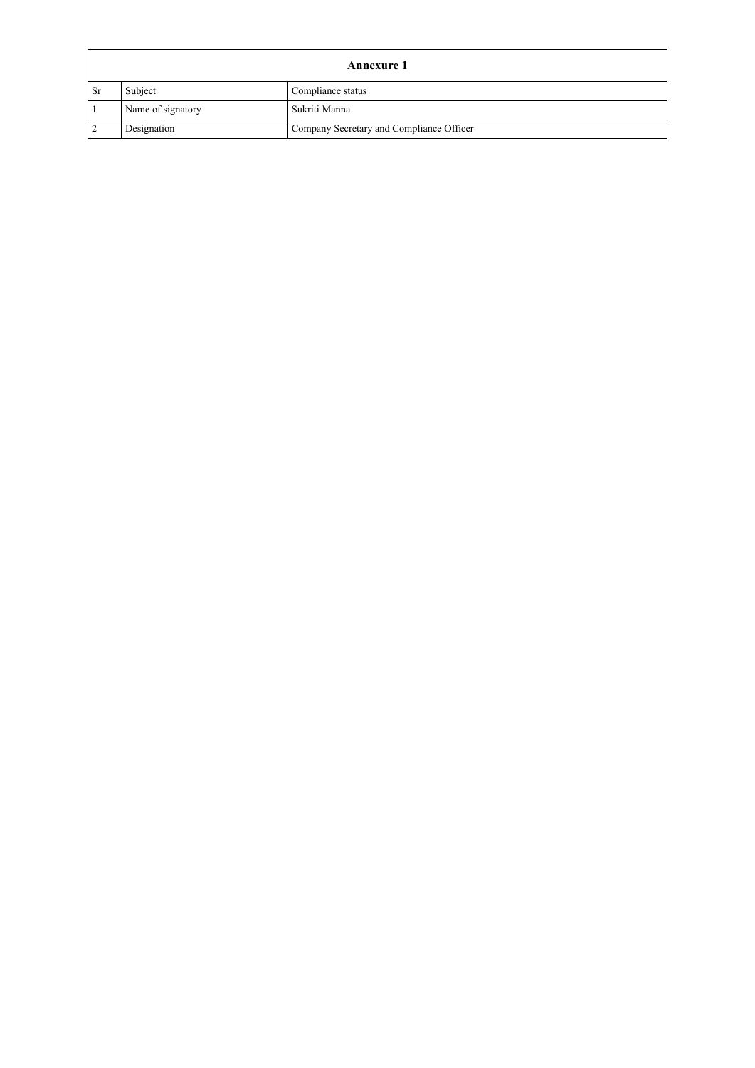|               | Annexure 1        |                                          |  |
|---------------|-------------------|------------------------------------------|--|
| <sub>Sr</sub> | Subject           | Compliance status                        |  |
|               | Name of signatory | Sukriti Manna                            |  |
|               | Designation       | Company Secretary and Compliance Officer |  |